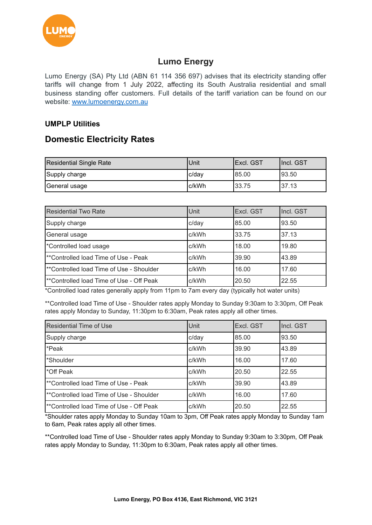

# **Lumo Energy**

Lumo Energy (SA) Pty Ltd (ABN 61 114 356 697) advises that its electricity standing offer tariffs will change from 1 July 2022, affecting its South Australia residential and small business standing offer customers. Full details of the tariff variation can be found on our website: [www.lumoenergy.com.au](http://www.lumoenergy.com.au)

### **UMPLP Utilities**

## **Domestic Electricity Rates**

| Residential Single Rate | IUnit  | IExcl. GST | Incl. GST |
|-------------------------|--------|------------|-----------|
| Supply charge           | Ic/dav | 185.00     | 93.50     |
| General usage           | Ic/kWh | 33.75      | 37.13     |

| <b>Residential Two Rate</b>                          | Unit     | Excl. GST | Incl. GST |
|------------------------------------------------------|----------|-----------|-----------|
| Supply charge                                        | $c$ /day | 85.00     | 93.50     |
| General usage                                        | c/kWh    | 33.75     | 37.13     |
| *Controlled load usage                               | c/kWh    | 18.00     | 19.80     |
| l**Controlled load Time of Use - Peak                | c/kWh    | 39.90     | 43.89     |
| <sup>**</sup> Controlled load Time of Use - Shoulder | c/kWh    | 16.00     | 17.60     |
| <sup>**</sup> Controlled load Time of Use - Off Peak | c/kWh    | 20.50     | 22.55     |

\*Controlled load rates generally apply from 11pm to 7am every day (typically hot water units)

\*\*Controlled load Time of Use - Shoulder rates apply Monday to Sunday 9:30am to 3:30pm, Off Peak rates apply Monday to Sunday, 11:30pm to 6:30am, Peak rates apply all other times.

| <b>Residential Time of Use</b>                       | Unit     | Excl. GST | Incl. GST |
|------------------------------------------------------|----------|-----------|-----------|
| Supply charge                                        | $c$ /day | 85.00     | 93.50     |
| *Peak                                                | c/kWh    | 39.90     | 43.89     |
| *Shoulder                                            | c/kWh    | 16.00     | 17.60     |
| l*Off Peak                                           | c/kWh    | 20.50     | 22.55     |
| <sup>**</sup> Controlled load Time of Use - Peak     | c/kWh    | 39.90     | 43.89     |
| <sup>**</sup> Controlled load Time of Use - Shoulder | c/kWh    | 16.00     | 17.60     |
| l**Controlled load Time of Use - Off Peak            | c/kWh    | 20.50     | 22.55     |

\*Shoulder rates apply Monday to Sunday 10am to 3pm, Off Peak rates apply Monday to Sunday 1am to 6am, Peak rates apply all other times.

\*\*Controlled load Time of Use - Shoulder rates apply Monday to Sunday 9:30am to 3:30pm, Off Peak rates apply Monday to Sunday, 11:30pm to 6:30am, Peak rates apply all other times.